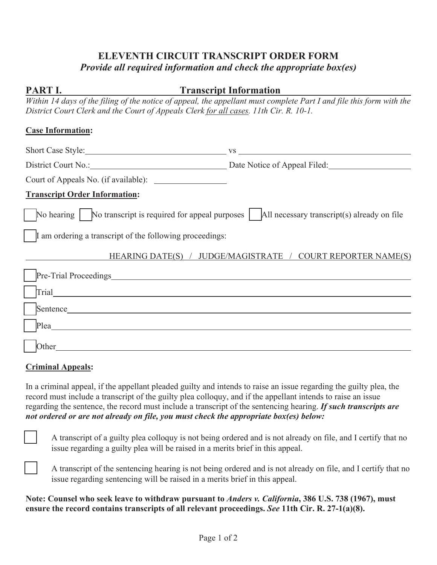# **ELEVENTH CIRCUIT TRANSCRIPT ORDER FORM**  *Provide all required information and check the appropriate box(es)*

# **PART I.** Transcript Information

*Within 14 days of the filing of the notice of appeal, the appellant must complete Part I and file this form with the District Court Clerk and the Court of Appeals Clerk for all cases. 11th Cir. R. 10-1.* 

#### **Case Information:**

| Short Case Style: 2008                                                                                                       | VS                                                          |  |
|------------------------------------------------------------------------------------------------------------------------------|-------------------------------------------------------------|--|
| District Court No.: District Court No.: Date Notice of Appeal Filed:                                                         |                                                             |  |
| Court of Appeals No. (if available):                                                                                         |                                                             |  |
| <b>Transcript Order Information:</b>                                                                                         |                                                             |  |
| $\vert$ No hearing $\vert$ No transcript is required for appeal purposes $\vert$ All necessary transcript(s) already on file |                                                             |  |
| If am ordering a transcript of the following proceedings:                                                                    |                                                             |  |
|                                                                                                                              | HEARING DATE(S) / JUDGE/MAGISTRATE / COURT REPORTER NAME(S) |  |
|                                                                                                                              |                                                             |  |
| Trial 1996 - 1997 - 1998 - 1999 - 1999 - 1999 - 1999 - 1999 - 1999 - 1999 - 1999 - 1999 - 1999 - 1999 - 1999 -               |                                                             |  |
| Sentence                                                                                                                     |                                                             |  |
| Plea                                                                                                                         |                                                             |  |
| Other                                                                                                                        |                                                             |  |

# **Criminal Appeals:**

In a criminal appeal, if the appellant pleaded guilty and intends to raise an issue regarding the guilty plea, the record must include a transcript of the guilty plea colloquy, and if the appellant intends to raise an issue regarding the sentence, the record must include a transcript of the sentencing hearing. *If such transcripts are not ordered or are not already on file, you must check the appropriate box(es) below:*



A transcript of a guilty plea colloquy is not being ordered and is not already on file, and I certify that no issue regarding a guilty plea will be raised in a merits brief in this appeal.



A transcript of the sentencing hearing is not being ordered and is not already on file, and I certify that no issue regarding sentencing will be raised in a merits brief in this appeal.

**Note: Counsel who seek leave to withdraw pursuant to** *Anders v. California***, 386 U.S. 738 (1967), must ensure the record contains transcripts of all relevant proceedings.** *See* **11th Cir. R. 27-1(a)(8).**